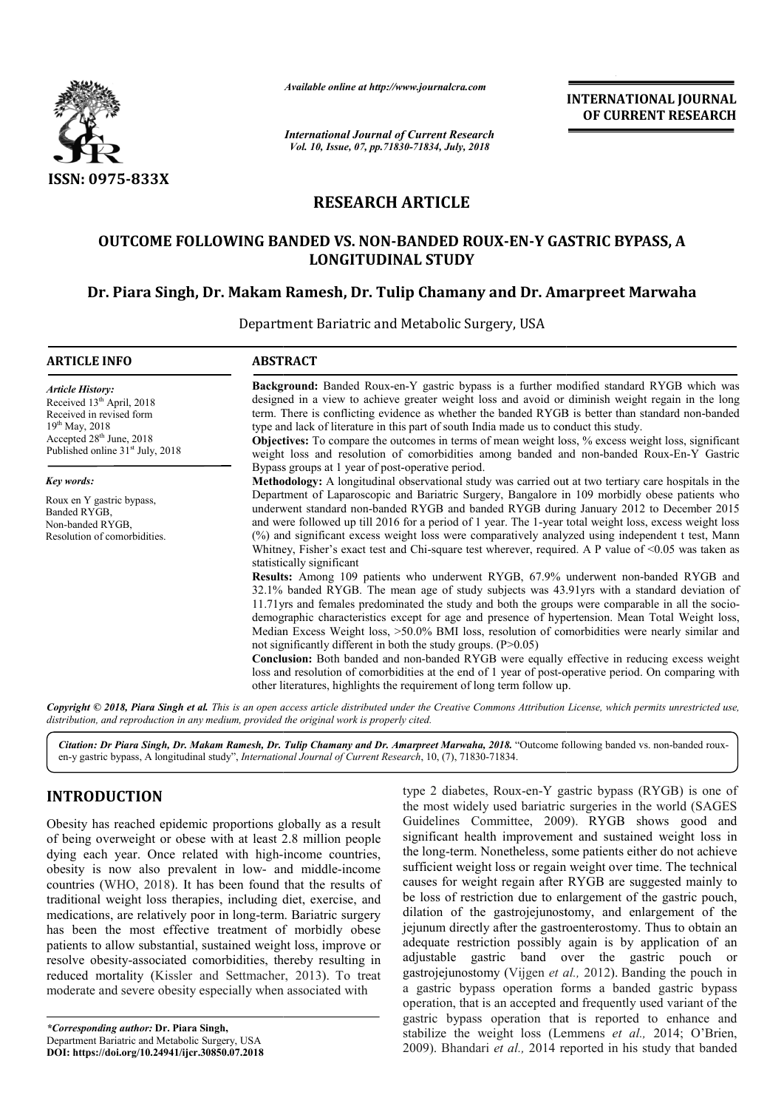

*Available online at http://www.journalcra.com*

*International Journal of Current Research Vol. 10, Issue, 07, pp.71830-71834, July, 2018*

**INTERNATIONAL JOURNAL OF CURRENT RESEARCH**

## **RESEARCH ARTICLE**

# OUTCOME FOLLOWING BANDED VS. NON-BANDED ROUX-EN-Y GASTRIC BYPASS, A<br>LONGITUDINAL STUDY<br>r. Piara Singh, Dr. Makam Ramesh, Dr. Tulip Chamany and Dr. Amarpreet Marwah **LONGITUDINAL STUDY**

## **Dr. Piara Singh, Dr. Makam Ramesh Ramesh, Dr. Tulip Chamany and Dr. Amarpreet Marwaha**

Department Bariatric and Metabolic Surgery, USA

| <b>ARTICLE INFO</b>                                                                                                                                                                               | <b>ABSTRACT</b>                                                                                                                                                                                                                                                                                                                                                                                                                                                                                                                                                                                                                                                                                                                                                                                                                                                                                                                                                                                                                                                                                                                                                                                                                                                                                                                                                                                                     |  |
|---------------------------------------------------------------------------------------------------------------------------------------------------------------------------------------------------|---------------------------------------------------------------------------------------------------------------------------------------------------------------------------------------------------------------------------------------------------------------------------------------------------------------------------------------------------------------------------------------------------------------------------------------------------------------------------------------------------------------------------------------------------------------------------------------------------------------------------------------------------------------------------------------------------------------------------------------------------------------------------------------------------------------------------------------------------------------------------------------------------------------------------------------------------------------------------------------------------------------------------------------------------------------------------------------------------------------------------------------------------------------------------------------------------------------------------------------------------------------------------------------------------------------------------------------------------------------------------------------------------------------------|--|
| <b>Article History:</b><br>Received 13 <sup>th</sup> April, 2018<br>Received in revised form<br>$19^{th}$ May, 2018<br>Accepted $28th$ June, 2018<br>Published online 31 <sup>st</sup> July, 2018 | <b>Background:</b> Banded Roux-en-Y gastric bypass is a further modified standard RYGB which was<br>designed in a view to achieve greater weight loss and avoid or diminish weight regain in the long<br>term. There is conflicting evidence as whether the banded RYGB is better than standard non-banded<br>type and lack of literature in this part of south India made us to conduct this study.<br><b>Objectives:</b> To compare the outcomes in terms of mean weight loss, % excess weight loss, significant<br>weight loss and resolution of comorbidities among banded and non-banded Roux-En-Y Gastric<br>Bypass groups at 1 year of post-operative period.                                                                                                                                                                                                                                                                                                                                                                                                                                                                                                                                                                                                                                                                                                                                                |  |
| Key words:                                                                                                                                                                                        | Methodology: A longitudinal observational study was carried out at two tertiary care hospitals in the                                                                                                                                                                                                                                                                                                                                                                                                                                                                                                                                                                                                                                                                                                                                                                                                                                                                                                                                                                                                                                                                                                                                                                                                                                                                                                               |  |
| Roux en Y gastric bypass,<br>Banded RYGB,<br>Non-banded RYGB,<br>Resolution of comorbidities.                                                                                                     | Department of Laparoscopic and Bariatric Surgery, Bangalore in 109 morbidly obese patients who<br>underwent standard non-banded RYGB and banded RYGB during January 2012 to December 2015<br>and were followed up till 2016 for a period of 1 year. The 1-year total weight loss, excess weight loss<br>(%) and significant excess weight loss were comparatively analyzed using independent t test, Mann<br>Whitney, Fisher's exact test and Chi-square test wherever, required. A P value of $\leq 0.05$ was taken as<br>statistically significant<br><b>Results:</b> Among 109 patients who underwent RYGB, 67.9% underwent non-banded RYGB and<br>32.1% banded RYGB. The mean age of study subjects was 43.91yrs with a standard deviation of<br>11.71yrs and females predominated the study and both the groups were comparable in all the socio-<br>demographic characteristics except for age and presence of hypertension. Mean Total Weight loss,<br>Median Excess Weight loss, >50.0% BMI loss, resolution of comorbidities were nearly similar and<br>not significantly different in both the study groups. $(P>0.05)$<br>Conclusion: Both banded and non-banded RYGB were equally effective in reducing excess weight<br>loss and resolution of comorbidities at the end of 1 year of post-operative period. On comparing with<br>other literatures, highlights the requirement of long term follow up. |  |

Copyright © 2018, Piara Singh et al. This is an open access article distributed under the Creative Commons Attribution License, which permits unrestricted use, *distribution, and reproduction in any medium, provided the original work is properly cited.*

Citation: Dr Piara Singh, Dr. Makam Ramesh, Dr. Tulip Chamany and Dr. Amarpreet Marwaha, 2018. "Outcome following banded vs. non-banded rouxen-y gastric bypass, A longitudinal study", *International Journal of Current Research* , 10, (7), 71830-71834.

## **INTRODUCTION**

Obesity has reached epidemic proportions globally as a result of being overweight or obese with at least 2.8 million people dying each year. Once related with high-income countries, obesity is now also prevalent in low- and middle-income countries (WHO, 2018). It has been found that the results of traditional weight loss therapies, including diet, exercise, and medications, are relatively poor in long-term. Bariatric surgery has been the most effective treatment of morbidly obese patients to allow substantial, sustained weight loss, improve or resolve obesity-associated comorbidities, thereby resulting in reduced mortality (Kissler and Settmacher, 2013). To treat moderate and severe obesity especially when associated with relatively poor in long-term. Bariatric surgery<br>most effective treatment of morbidly obese<br>v substantial, sustained weight loss, improve or<br>associated comorbidities, thereby resulting in type 2 diabetes, Roux-en-Y gastric bypass (RYGB) is one of type 2 diabetes, Roux-en-Y gastric bypass (RYGB) is one of the most widely used bariatric surgeries in the world (SAGES) Guidelines Committee, 2009). , RYGB shows good and significant health improvement and sustained weight loss in significant health improvement and sustained weight loss in the long-term. Nonetheless, some patients either do not achieve sufficient weight loss or regain weight over time. The technical causes for weight regain after RYGB are suggested mainly to be loss of restriction due to enlargement of the gastric pouch, dilation of the gastrojejunostomy, and enlargement of th jejunum directly after the gastroenterostomy. Thus to obtain an adequate restriction possibly again is by application of an jejunum directly after the gastroenterostomy. Thus to obtain an adequate restriction possibly again is by application of an adjustable gastric band over the gastric pouch or gastrojejunostomy (Vijgen et al., 2012). Banding the pouch in a gastric bypass operation forms a banded gastric bypass operation, that is an accepted and frequently used variant of the gastric bypass operation that is reported to enhance and stabilize the weight loss (Lemmens et al., 2014; O'Brien, 2009). Bhandari et al., 2014 reported in his study that banded t weight loss or regain weight over time. The technical<br>or weight regain after RYGB are suggested mainly to<br>of restriction due to enlargement of the gastric pouch,<br>of the gastrojejunostomy, and enlargement of the an accepted and frequently used variant of the operation that is reported to enhance and ight loss (Lemmens *et al.*, 2014; O'Brien,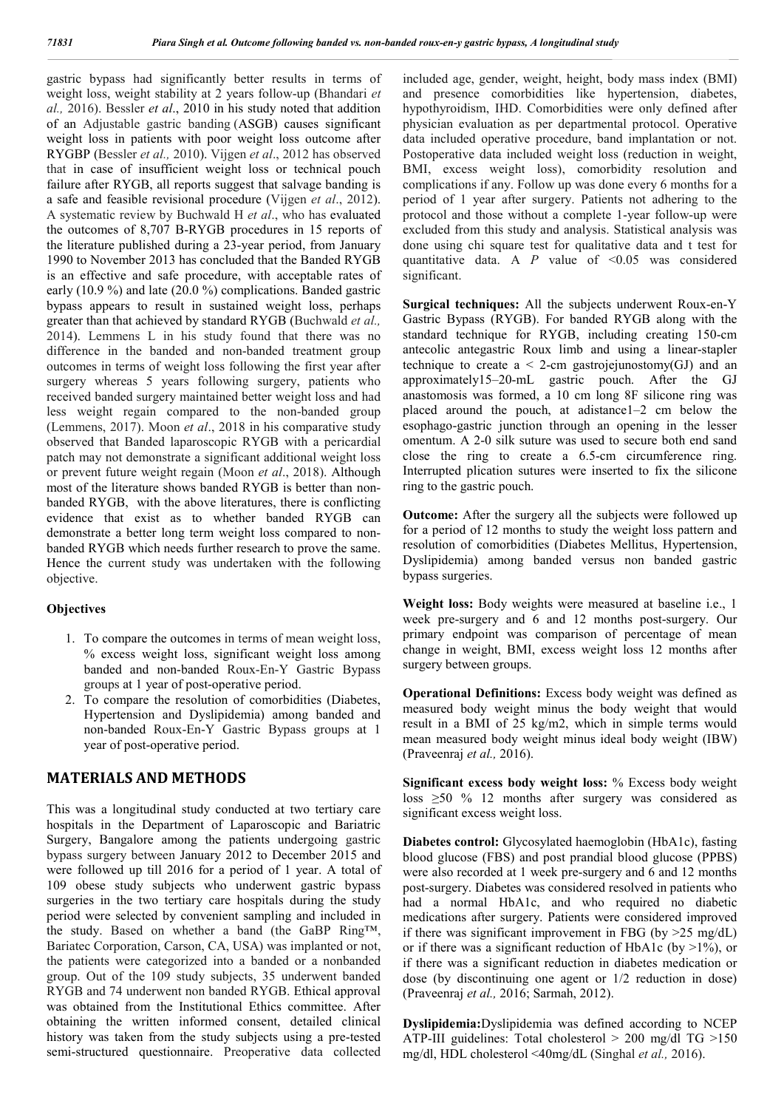gastric bypass had significantly better results in terms of weight loss, weight stability at 2 years follow-up (Bhandari *et al.,* 2016). Bessler *et al*., 2010 in his study noted that addition of an Adjustable gastric banding (ASGB) causes significant weight loss in patients with poor weight loss outcome after RYGBP (Bessler *et al.,* 2010). Vijgen *et al*., 2012 has observed that in case of insufficient weight loss or technical pouch failure after RYGB, all reports suggest that salvage banding is a safe and feasible revisional procedure (Vijgen *et al*., 2012). A systematic review by Buchwald H *et al*., who has evaluated the outcomes of 8,707 B-RYGB procedures in 15 reports of the literature published during a 23-year period, from January 1990 to November 2013 has concluded that the Banded RYGB is an effective and safe procedure, with acceptable rates of early (10.9 %) and late (20.0 %) complications. Banded gastric bypass appears to result in sustained weight loss, perhaps greater than that achieved by standard RYGB (Buchwald *et al.,*  2014). Lemmens L in his study found that there was no difference in the banded and non-banded treatment group outcomes in terms of weight loss following the first year after surgery whereas 5 years following surgery, patients who received banded surgery maintained better weight loss and had less weight regain compared to the non-banded group (Lemmens, 2017). Moon *et al*., 2018 in his comparative study observed that Banded laparoscopic RYGB with a pericardial patch may not demonstrate a significant additional weight loss or prevent future weight regain (Moon *et al*., 2018). Although most of the literature shows banded RYGB is better than nonbanded RYGB, with the above literatures, there is conflicting evidence that exist as to whether banded RYGB can demonstrate a better long term weight loss compared to nonbanded RYGB which needs further research to prove the same. Hence the current study was undertaken with the following objective.

#### **Objectives**

- 1. To compare the outcomes in terms of mean weight loss, % excess weight loss, significant weight loss among banded and non-banded Roux-En-Y Gastric Bypass groups at 1 year of post-operative period.
- 2. To compare the resolution of comorbidities (Diabetes, Hypertension and Dyslipidemia) among banded and non-banded Roux-En-Y Gastric Bypass groups at 1 year of post-operative period.

## **MATERIALS AND METHODS**

This was a longitudinal study conducted at two tertiary care hospitals in the Department of Laparoscopic and Bariatric Surgery, Bangalore among the patients undergoing gastric bypass surgery between January 2012 to December 2015 and were followed up till 2016 for a period of 1 year. A total of 109 obese study subjects who underwent gastric bypass surgeries in the two tertiary care hospitals during the study period were selected by convenient sampling and included in the study. Based on whether a band (the GaBP Ring™, Bariatec Corporation, Carson, CA, USA) was implanted or not, the patients were categorized into a banded or a nonbanded group. Out of the 109 study subjects, 35 underwent banded RYGB and 74 underwent non banded RYGB. Ethical approval was obtained from the Institutional Ethics committee. After obtaining the written informed consent, detailed clinical history was taken from the study subjects using a pre-tested semi-structured questionnaire. Preoperative data collected

included age, gender, weight, height, body mass index (BMI) and presence comorbidities like hypertension, diabetes, hypothyroidism, IHD. Comorbidities were only defined after physician evaluation as per departmental protocol. Operative data included operative procedure, band implantation or not. Postoperative data included weight loss (reduction in weight, BMI, excess weight loss), comorbidity resolution and complications if any. Follow up was done every 6 months for a period of 1 year after surgery. Patients not adhering to the protocol and those without a complete 1-year follow-up were excluded from this study and analysis. Statistical analysis was done using chi square test for qualitative data and t test for quantitative data. A *P* value of <0.05 was considered significant.

**Surgical techniques:** All the subjects underwent Roux-en-Y Gastric Bypass (RYGB). For banded RYGB along with the standard technique for RYGB, including creating 150-cm antecolic antegastric Roux limb and using a linear-stapler technique to create  $a < 2$ -cm gastrojejunostomy(GJ) and an approximately15–20-mL gastric pouch. After the GJ anastomosis was formed, a 10 cm long 8F silicone ring was placed around the pouch, at adistance1–2 cm below the esophago-gastric junction through an opening in the lesser omentum. A 2-0 silk suture was used to secure both end sand close the ring to create a 6.5-cm circumference ring. Interrupted plication sutures were inserted to fix the silicone ring to the gastric pouch.

**Outcome:** After the surgery all the subjects were followed up for a period of 12 months to study the weight loss pattern and resolution of comorbidities (Diabetes Mellitus, Hypertension, Dyslipidemia) among banded versus non banded gastric bypass surgeries.

**Weight loss:** Body weights were measured at baseline i.e., 1 week pre-surgery and 6 and 12 months post-surgery. Our primary endpoint was comparison of percentage of mean change in weight, BMI, excess weight loss 12 months after surgery between groups.

**Operational Definitions:** Excess body weight was defined as measured body weight minus the body weight that would result in a BMI of 25 kg/m2, which in simple terms would mean measured body weight minus ideal body weight (IBW) (Praveenraj *et al.,* 2016).

**Significant excess body weight loss:** % Excess body weight loss ≥50 % 12 months after surgery was considered as significant excess weight loss.

**Diabetes control:** Glycosylated haemoglobin (HbA1c), fasting blood glucose (FBS) and post prandial blood glucose (PPBS) were also recorded at 1 week pre-surgery and 6 and 12 months post-surgery. Diabetes was considered resolved in patients who had a normal HbA1c, and who required no diabetic medications after surgery. Patients were considered improved if there was significant improvement in FBG (by >25 mg/dL) or if there was a significant reduction of HbA1c (by  $>1\%$ ), or if there was a significant reduction in diabetes medication or dose (by discontinuing one agent or 1/2 reduction in dose) (Praveenraj *et al.,* 2016; Sarmah, 2012).

**Dyslipidemia:**Dyslipidemia was defined according to NCEP ATP-III guidelines: Total cholesterol > 200 mg/dl TG >150 mg/dl, HDL cholesterol <40mg/dL (Singhal *et al.,* 2016).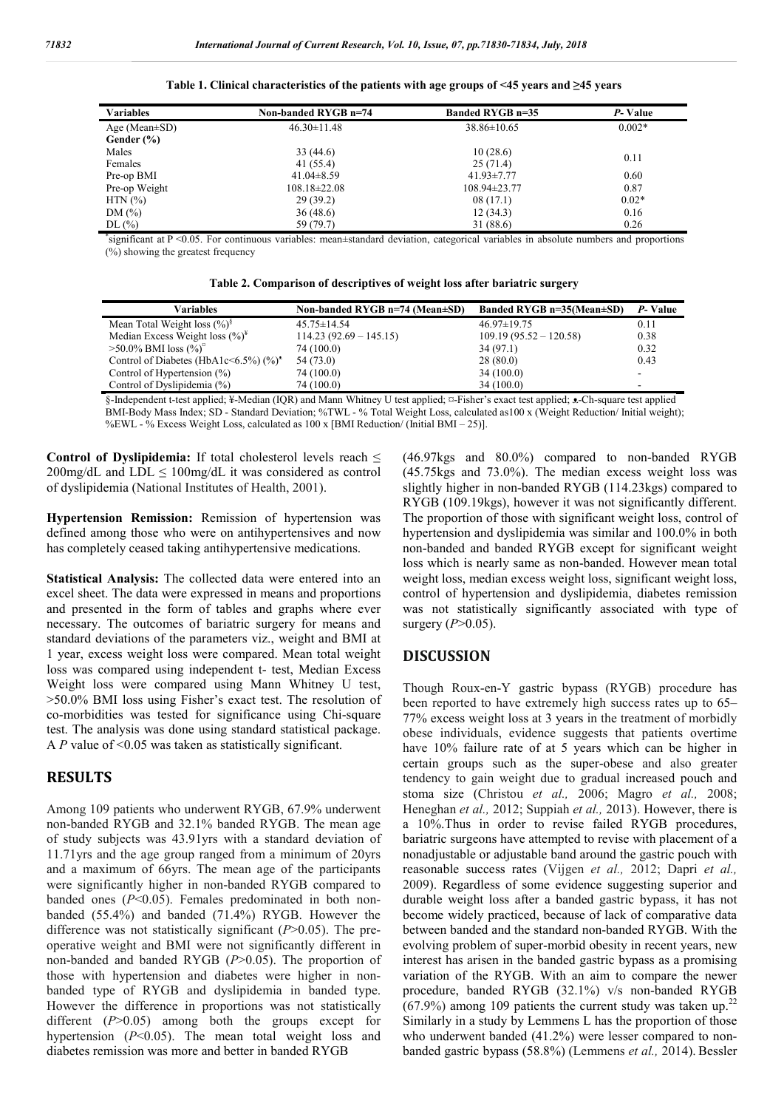| <b>Variables</b>    | Non-banded RYGB n=74 | <b>Banded RYGB n=35</b> | P-Value  |  |
|---------------------|----------------------|-------------------------|----------|--|
| Age (Mean $\pm$ SD) | $46.30 \pm 11.48$    | $38.86 \pm 10.65$       | $0.002*$ |  |
| Gender (%)          |                      |                         |          |  |
| Males               | 33(44.6)             | 10(28.6)                |          |  |
| Females             | 41 (55.4)            | 25(71.4)                | 0.11     |  |
| Pre-op BMI          | $41.04\pm8.59$       | $41.93 \pm 7.77$        | 0.60     |  |
| Pre-op Weight       | $108.18 \pm 22.08$   | $108.94\pm23.77$        | 0.87     |  |
| $HTN$ $(\% )$       | 29(39.2)             | 08(17.1)                | $0.02*$  |  |
| DM(%)               | 36(48.6)             | 12(34.3)                | 0.16     |  |
| DL(%)               | 59 (79.7)            | 31 (88.6)               | 0.26     |  |

**Table 1. Clinical characteristics of the patients with age groups of <45 years and ≥45 years**

\* significant at P <0.05. For continuous variables: mean±standard deviation, categorical variables in absolute numbers and proportions (%) showing the greatest frequency

**Table 2. Comparison of descriptives of weight loss after bariatric surgery**

| Variables                                            | Non-banded RYGB n=74 (Mean±SD) | Banded RYGB n=35(Mean±SD) | P-Value |
|------------------------------------------------------|--------------------------------|---------------------------|---------|
| Mean Total Weight loss $(\frac{9}{6})^{\frac{5}{5}}$ | $45.75 \pm 14.54$              | $46.97 \pm 19.75$         | 0.11    |
| Median Excess Weight loss $(\%)^*$                   | $114.23(92.69 - 145.15)$       | $109.19(95.52 - 120.58)$  | 0.38    |
| $>50.0\%$ BMI loss $(\%)^{\circ}$                    | 74 (100.0)                     | 34 (97.1)                 | 0.32    |
| Control of Diabetes (HbA1c<6.5%) $(\%)^*$            | 54 (73.0)                      | 28(80.0)                  | 0.43    |
| Control of Hypertension $(\%)$                       | 74 (100.0)                     | 34(100.0)                 | -       |
| Control of Dyslipidemia (%)                          | 74 (100.0)                     | 34 (100.0)                |         |

§-Independent t-test applied; ¥-Median (IQR) and Mann Whitney U test applied; ¤-Fisher's exact test applied; ᴥ-Ch-square test applied BMI-Body Mass Index; SD - Standard Deviation; %TWL - % Total Weight Loss, calculated as100 x (Weight Reduction/ Initial weight); %EWL - % Excess Weight Loss, calculated as 100 x [BMI Reduction/ (Initial BMI – 25)].

**Control of Dyslipidemia:** If total cholesterol levels reach ≤  $200$ mg/dL and LDL  $\leq 100$ mg/dL it was considered as control of dyslipidemia (National Institutes of Health, 2001).

**Hypertension Remission:** Remission of hypertension was defined among those who were on antihypertensives and now has completely ceased taking antihypertensive medications.

**Statistical Analysis:** The collected data were entered into an excel sheet. The data were expressed in means and proportions and presented in the form of tables and graphs where ever necessary. The outcomes of bariatric surgery for means and standard deviations of the parameters viz., weight and BMI at 1 year, excess weight loss were compared. Mean total weight loss was compared using independent t- test, Median Excess Weight loss were compared using Mann Whitney U test, >50.0% BMI loss using Fisher's exact test. The resolution of co-morbidities was tested for significance using Chi-square test. The analysis was done using standard statistical package. A *P* value of <0.05 was taken as statistically significant.

### **RESULTS**

Among 109 patients who underwent RYGB, 67.9% underwent non-banded RYGB and 32.1% banded RYGB. The mean age of study subjects was 43.91yrs with a standard deviation of 11.71yrs and the age group ranged from a minimum of 20yrs and a maximum of 66yrs. The mean age of the participants were significantly higher in non-banded RYGB compared to banded ones (*P*<0.05). Females predominated in both nonbanded (55.4%) and banded (71.4%) RYGB. However the difference was not statistically significant (*P*>0.05). The preoperative weight and BMI were not significantly different in non-banded and banded RYGB (*P*>0.05). The proportion of those with hypertension and diabetes were higher in nonbanded type of RYGB and dyslipidemia in banded type. However the difference in proportions was not statistically different (*P*>0.05) among both the groups except for hypertension (*P*<0.05). The mean total weight loss and diabetes remission was more and better in banded RYGB

(46.97kgs and 80.0%) compared to non-banded RYGB (45.75kgs and 73.0%). The median excess weight loss was slightly higher in non-banded RYGB (114.23kgs) compared to RYGB (109.19kgs), however it was not significantly different. The proportion of those with significant weight loss, control of hypertension and dyslipidemia was similar and 100.0% in both non-banded and banded RYGB except for significant weight loss which is nearly same as non-banded. However mean total weight loss, median excess weight loss, significant weight loss, control of hypertension and dyslipidemia, diabetes remission was not statistically significantly associated with type of surgery  $(P>0.05)$ .

#### **DISCUSSION**

Though Roux-en-Y gastric bypass (RYGB) procedure has been reported to have extremely high success rates up to 65– 77% excess weight loss at 3 years in the treatment of morbidly obese individuals, evidence suggests that patients overtime have 10% failure rate of at 5 years which can be higher in certain groups such as the super-obese and also greater tendency to gain weight due to gradual increased pouch and stoma size (Christou *et al.,* 2006; Magro *et al.,* 2008; Heneghan *et al.,* 2012; Suppiah *et al.,* 2013). However, there is a 10%.Thus in order to revise failed RYGB procedures, bariatric surgeons have attempted to revise with placement of a nonadjustable or adjustable band around the gastric pouch with reasonable success rates (Vijgen *et al.,* 2012; Dapri *et al.,*  2009). Regardless of some evidence suggesting superior and durable weight loss after a banded gastric bypass, it has not become widely practiced, because of lack of comparative data between banded and the standard non-banded RYGB. With the evolving problem of super-morbid obesity in recent years, new interest has arisen in the banded gastric bypass as a promising variation of the RYGB. With an aim to compare the newer procedure, banded RYGB (32.1%) v/s non-banded RYGB  $(67.9\%)$  among 109 patients the current study was taken up.<sup>22</sup> Similarly in a study by Lemmens L has the proportion of those who underwent banded  $(41.2%)$  were lesser compared to nonbanded gastric bypass (58.8%) (Lemmens *et al.,* 2014). Bessler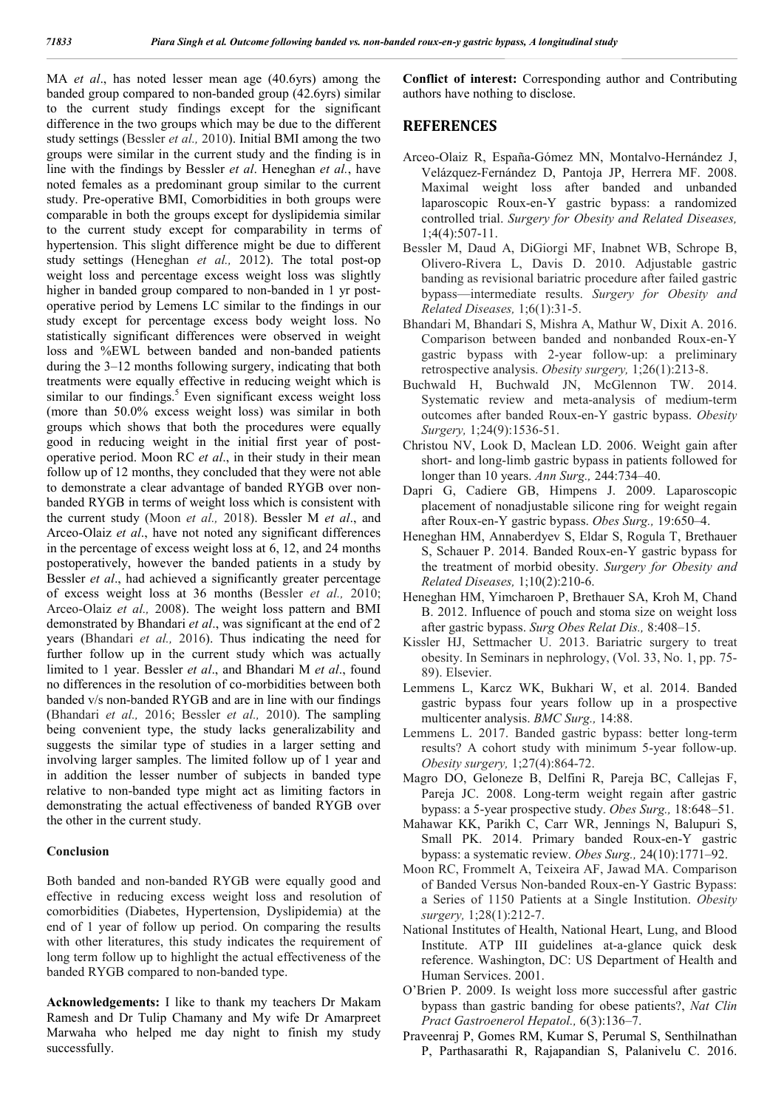MA *et al*., has noted lesser mean age (40.6yrs) among the banded group compared to non-banded group (42.6yrs) similar to the current study findings except for the significant difference in the two groups which may be due to the different study settings (Bessler *et al.,* 2010). Initial BMI among the two groups were similar in the current study and the finding is in line with the findings by Bessler *et al*. Heneghan *et al.*, have noted females as a predominant group similar to the current study. Pre-operative BMI, Comorbidities in both groups were comparable in both the groups except for dyslipidemia similar to the current study except for comparability in terms of hypertension. This slight difference might be due to different study settings (Heneghan *et al.,* 2012). The total post-op weight loss and percentage excess weight loss was slightly higher in banded group compared to non-banded in 1 yr postoperative period by Lemens LC similar to the findings in our study except for percentage excess body weight loss. No statistically significant differences were observed in weight loss and %EWL between banded and non-banded patients during the 3–12 months following surgery, indicating that both treatments were equally effective in reducing weight which is similar to our findings. $5$  Even significant excess weight loss (more than 50.0% excess weight loss) was similar in both groups which shows that both the procedures were equally good in reducing weight in the initial first year of postoperative period. Moon RC *et al*., in their study in their mean follow up of 12 months, they concluded that they were not able to demonstrate a clear advantage of banded RYGB over nonbanded RYGB in terms of weight loss which is consistent with the current study (Moon *et al.,* 2018). Bessler M *et al*., and Arceo-Olaiz *et al*., have not noted any significant differences in the percentage of excess weight loss at 6, 12, and 24 months postoperatively, however the banded patients in a study by Bessler *et al*., had achieved a significantly greater percentage of excess weight loss at 36 months (Bessler *et al.,* 2010; Arceo-Olaiz *et al.,* 2008). The weight loss pattern and BMI demonstrated by Bhandari *et al*., was significant at the end of 2 years (Bhandari *et al.,* 2016). Thus indicating the need for further follow up in the current study which was actually limited to 1 year. Bessler *et al*., and Bhandari M *et al*., found no differences in the resolution of co-morbidities between both banded v/s non-banded RYGB and are in line with our findings (Bhandari *et al.,* 2016; Bessler *et al.,* 2010). The sampling being convenient type, the study lacks generalizability and suggests the similar type of studies in a larger setting and involving larger samples. The limited follow up of 1 year and in addition the lesser number of subjects in banded type relative to non-banded type might act as limiting factors in demonstrating the actual effectiveness of banded RYGB over the other in the current study.

#### **Conclusion**

Both banded and non-banded RYGB were equally good and effective in reducing excess weight loss and resolution of comorbidities (Diabetes, Hypertension, Dyslipidemia) at the end of 1 year of follow up period. On comparing the results with other literatures, this study indicates the requirement of long term follow up to highlight the actual effectiveness of the banded RYGB compared to non-banded type.

**Acknowledgements:** I like to thank my teachers Dr Makam Ramesh and Dr Tulip Chamany and My wife Dr Amarpreet Marwaha who helped me day night to finish my study successfully.

**Conflict of interest:** Corresponding author and Contributing authors have nothing to disclose.

#### **REFERENCES**

- Arceo-Olaiz R, España-Gómez MN, Montalvo-Hernández J, Velázquez-Fernández D, Pantoja JP, Herrera MF. 2008. Maximal weight loss after banded and unbanded laparoscopic Roux-en-Y gastric bypass: a randomized controlled trial. *Surgery for Obesity and Related Diseases,* 1;4(4):507-11.
- Bessler M, Daud A, DiGiorgi MF, Inabnet WB, Schrope B, Olivero-Rivera L, Davis D. 2010. Adjustable gastric banding as revisional bariatric procedure after failed gastric bypass—intermediate results. *Surgery for Obesity and Related Diseases,* 1;6(1):31-5.
- Bhandari M, Bhandari S, Mishra A, Mathur W, Dixit A. 2016. Comparison between banded and nonbanded Roux-en-Y gastric bypass with 2-year follow-up: a preliminary retrospective analysis. *Obesity surgery,* 1;26(1):213-8.
- Buchwald H, Buchwald JN, McGlennon TW. 2014. Systematic review and meta-analysis of medium-term outcomes after banded Roux-en-Y gastric bypass. *Obesity Surgery,* 1;24(9):1536-51.
- Christou NV, Look D, Maclean LD. 2006. Weight gain after short- and long-limb gastric bypass in patients followed for longer than 10 years. *Ann Surg.,* 244:734–40.
- Dapri G, Cadiere GB, Himpens J. 2009. Laparoscopic placement of nonadjustable silicone ring for weight regain after Roux-en-Y gastric bypass. *Obes Surg.,* 19:650–4.
- Heneghan HM, Annaberdyev S, Eldar S, Rogula T, Brethauer S, Schauer P. 2014. Banded Roux-en-Y gastric bypass for the treatment of morbid obesity. *Surgery for Obesity and Related Diseases,* 1;10(2):210-6.
- Heneghan HM, Yimcharoen P, Brethauer SA, Kroh M, Chand B. 2012. Influence of pouch and stoma size on weight loss after gastric bypass. *Surg Obes Relat Dis.,* 8:408–15.
- Kissler HJ, Settmacher U. 2013. Bariatric surgery to treat obesity. In Seminars in nephrology, (Vol. 33, No. 1, pp. 75- 89). Elsevier.
- Lemmens L, Karcz WK, Bukhari W, et al. 2014. Banded gastric bypass four years follow up in a prospective multicenter analysis. *BMC Surg.,* 14:88.
- Lemmens L. 2017. Banded gastric bypass: better long-term results? A cohort study with minimum 5-year follow-up. *Obesity surgery,* 1;27(4):864-72.
- Magro DO, Geloneze B, Delfini R, Pareja BC, Callejas F, Pareja JC. 2008. Long-term weight regain after gastric bypass: a 5-year prospective study. *Obes Surg.,* 18:648–51.
- Mahawar KK, Parikh C, Carr WR, Jennings N, Balupuri S, Small PK. 2014. Primary banded Roux-en-Y gastric bypass: a systematic review. *Obes Surg.,* 24(10):1771–92.
- Moon RC, Frommelt A, Teixeira AF, Jawad MA. Comparison of Banded Versus Non-banded Roux-en-Y Gastric Bypass: a Series of 1150 Patients at a Single Institution. *Obesity surgery,* 1;28(1):212-7.
- National Institutes of Health, National Heart, Lung, and Blood Institute. ATP III guidelines at-a-glance quick desk reference. Washington, DC: US Department of Health and Human Services. 2001.
- O'Brien P. 2009. Is weight loss more successful after gastric bypass than gastric banding for obese patients?, *Nat Clin Pract Gastroenerol Hepatol.,* 6(3):136–7.
- Praveenraj P, Gomes RM, Kumar S, Perumal S, Senthilnathan P, Parthasarathi R, Rajapandian S, Palanivelu C. 2016.